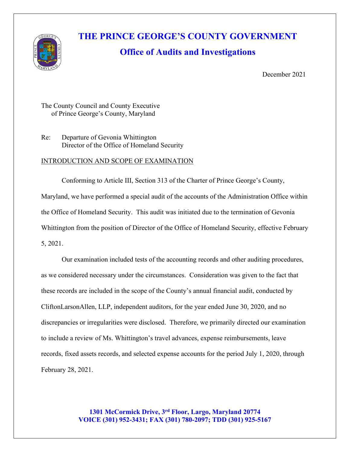

# **THE PRINCE GEORGE'S COUNTY GOVERNMENT**

## **Office of Audits and Investigations**

December 2021

The County Council and County Executive of Prince George's County, Maryland

Re: Departure of Gevonia Whittington Director of the Office of Homeland Security

#### INTRODUCTION AND SCOPE OF EXAMINATION

Conforming to Article III, Section 313 of the Charter of Prince George's County, Maryland, we have performed a special audit of the accounts of the Administration Office within the Office of Homeland Security. This audit was initiated due to the termination of Gevonia Whittington from the position of Director of the Office of Homeland Security, effective February 5, 2021.

Our examination included tests of the accounting records and other auditing procedures, as we considered necessary under the circumstances. Consideration was given to the fact that these records are included in the scope of the County's annual financial audit, conducted by CliftonLarsonAllen, LLP, independent auditors, for the year ended June 30, 2020, and no discrepancies or irregularities were disclosed. Therefore, we primarily directed our examination to include a review of Ms. Whittington's travel advances, expense reimbursements, leave records, fixed assets records, and selected expense accounts for the period July 1, 2020, through February 28, 2021.

> **1301 McCormick Drive, 3rd Floor, Largo, Maryland 20774 VOICE (301) 952-3431; FAX (301) 780-2097; TDD (301) 925-5167**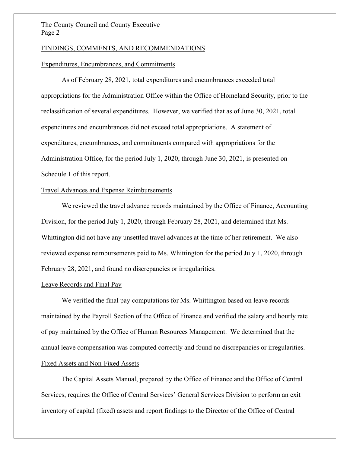#### The County Council and County Executive Page 2

#### FINDINGS, COMMENTS, AND RECOMMENDATIONS

#### Expenditures, Encumbrances, and Commitments

As of February 28, 2021, total expenditures and encumbrances exceeded total appropriations for the Administration Office within the Office of Homeland Security, prior to the reclassification of several expenditures. However, we verified that as of June 30, 2021, total expenditures and encumbrances did not exceed total appropriations. A statement of expenditures, encumbrances, and commitments compared with appropriations for the Administration Office, for the period July 1, 2020, through June 30, 2021, is presented on Schedule 1 of this report.

#### Travel Advances and Expense Reimbursements

We reviewed the travel advance records maintained by the Office of Finance, Accounting Division, for the period July 1, 2020, through February 28, 2021, and determined that Ms. Whittington did not have any unsettled travel advances at the time of her retirement. We also reviewed expense reimbursements paid to Ms. Whittington for the period July 1, 2020, through February 28, 2021, and found no discrepancies or irregularities.

#### Leave Records and Final Pay

We verified the final pay computations for Ms. Whittington based on leave records maintained by the Payroll Section of the Office of Finance and verified the salary and hourly rate of pay maintained by the Office of Human Resources Management. We determined that the annual leave compensation was computed correctly and found no discrepancies or irregularities. Fixed Assets and Non-Fixed Assets

The Capital Assets Manual, prepared by the Office of Finance and the Office of Central Services, requires the Office of Central Services' General Services Division to perform an exit inventory of capital (fixed) assets and report findings to the Director of the Office of Central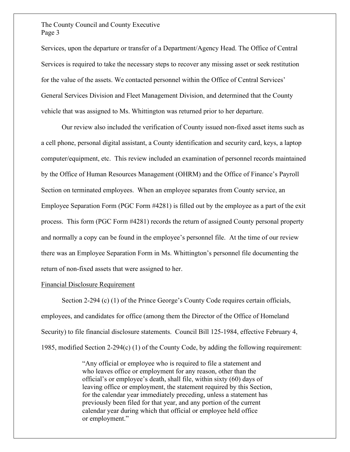#### The County Council and County Executive Page 3

Services, upon the departure or transfer of a Department/Agency Head. The Office of Central Services is required to take the necessary steps to recover any missing asset or seek restitution for the value of the assets. We contacted personnel within the Office of Central Services' General Services Division and Fleet Management Division, and determined that the County vehicle that was assigned to Ms. Whittington was returned prior to her departure.

Our review also included the verification of County issued non-fixed asset items such as a cell phone, personal digital assistant, a County identification and security card, keys, a laptop computer/equipment, etc. This review included an examination of personnel records maintained by the Office of Human Resources Management (OHRM) and the Office of Finance's Payroll Section on terminated employees. When an employee separates from County service, an Employee Separation Form (PGC Form #4281) is filled out by the employee as a part of the exit process. This form (PGC Form #4281) records the return of assigned County personal property and normally a copy can be found in the employee's personnel file. At the time of our review there was an Employee Separation Form in Ms. Whittington's personnel file documenting the return of non-fixed assets that were assigned to her.

#### Financial Disclosure Requirement

Section 2-294 (c) (1) of the Prince George's County Code requires certain officials, employees, and candidates for office (among them the Director of the Office of Homeland Security) to file financial disclosure statements. Council Bill 125-1984, effective February 4, 1985, modified Section 2-294(c) (1) of the County Code, by adding the following requirement:

> "Any official or employee who is required to file a statement and who leaves office or employment for any reason, other than the official's or employee's death, shall file, within sixty (60) days of leaving office or employment, the statement required by this Section, for the calendar year immediately preceding, unless a statement has previously been filed for that year, and any portion of the current calendar year during which that official or employee held office or employment."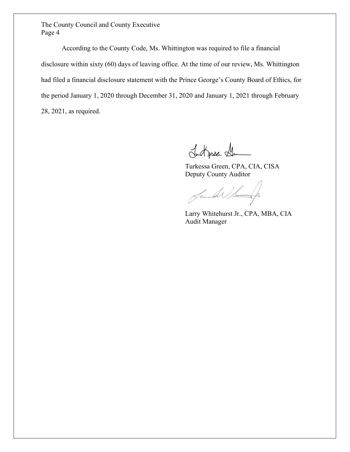The County Council and County Executive Page 4

According to the County Code, Ms. Whittington was required to file a financial disclosure within sixty (60) days of leaving office. At the time of our review, Ms. Whittington had filed a financial disclosure statement with the Prince George's County Board of Ethics, for the period January 1, 2020 through December 31, 2020 and January 1, 2021 through February 28, 2021, as required.

Ludgese Ll

Turkessa Green, CPA, CIA, CISA Deputy County Auditor

Jande

Larry Whitehurst Jr., CPA, MBA, CIA Audit Manager